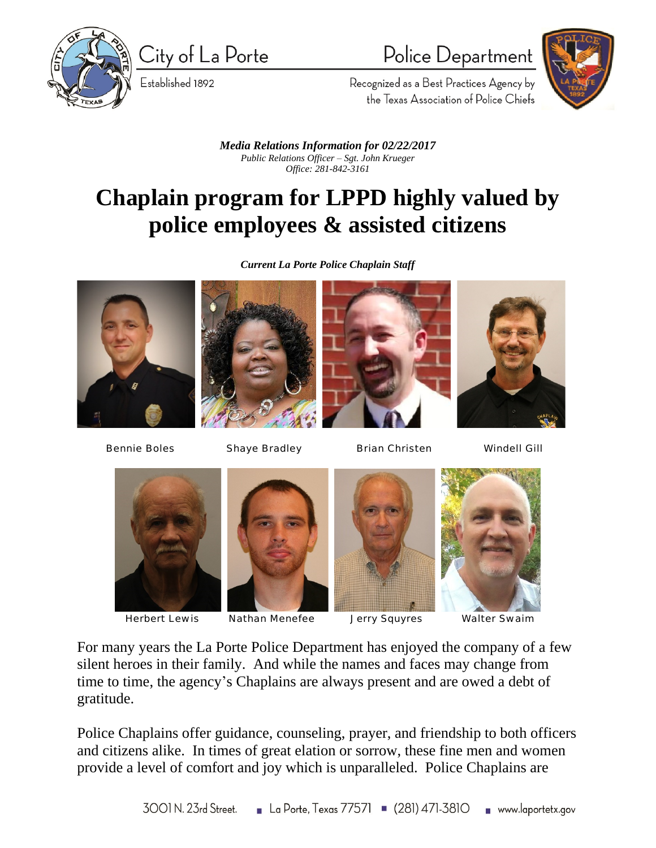

City of La Porte

Established 1892

## Police Department



Recognized as a Best Practices Agency by the Texas Association of Police Chiefs

*Media Relations Information for 02/22/2017 Public Relations Officer – Sgt. John Krueger Office: 281-842-3161*

## **Chaplain program for LPPD highly valued by police employees & assisted citizens**

*Current La Porte Police Chaplain Staff*













Herbert Lewis Nathan Menefee Jerry Squyres Walter Swaim

 $\overline{a}$ 





For many years the La Porte Police Department has enjoyed the company of a few silent heroes in their family. And while the names and faces may change from time to time, the agency's Chaplains are always present and are owed a debt of gratitude.

Police Chaplains offer guidance, counseling, prayer, and friendship to both officers and citizens alike. In times of great elation or sorrow, these fine men and women provide a level of comfort and joy which is unparalleled. Police Chaplains are